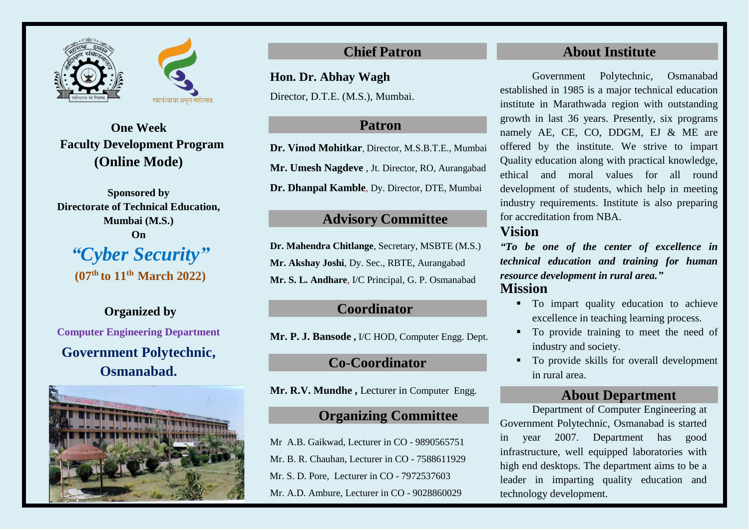



**One Week Faculty Development Program (Online Mode)**

**Sponsored by Directorate of Technical Education, Mumbai (M.S.) On** *"Cyber Security"*  **(07th to 11th March 2022)** 

**Organized by Computer Engineering Department Government Polytechnic, Osmanabad.**



**Hon. Dr. Abhay Wagh**

Director, D.T.E. (M.S.), Mumbai.

# **Patron**

**Dr. Vinod Mohitkar**, Director, M.S.B.T.E., Mumbai **Mr. Umesh Nagdeve** , Jt. Director, RO, Aurangabad

**Dr. Dhanpal Kamble**, Dy. Director, DTE, Mumbai

## **Advisory Committee**

**Dr. Mahendra Chitlange**, Secretary, MSBTE (M.S.) **Mr. Akshay Joshi**, Dy. Sec., RBTE, Aurangabad **Mr. S. L. Andhare**, I/C Principal, G. P. Osmanabad

## **Coordinator**

**Mr. P. J. Bansode ,** I/C HOD, Computer Engg. Dept.

# **Co**-**Coordinator**

**Mr. R.V. Mundhe ,** Lecturer in Computer Engg.

# **Organizing Committee**

Mr A.B. Gaikwad, Lecturer in CO - 9890565751 Mr. B. R. Chauhan, Lecturer in CO - 7588611929 Mr. S. D. Pore, Lecturer in CO - 7972537603 Mr. A.D. Ambure, Lecturer in CO - 9028860029

# **Chief Patron About Institute**

Government Polytechnic, Osmanabad established in 1985 is a major technical education institute in Marathwada region with outstanding growth in last 36 years. Presently, six programs namely AE, CE, CO, DDGM, EJ & ME are offered by the institute. We strive to impart Quality education along with practical knowledge, ethical and moral values for all round development of students, which help in meeting industry requirements. Institute is also preparing for accreditation from NBA.

# **Vision**

*"To be one of the center of excellence in technical education and training for human resource development in rural area."* **Mission**

- $\blacksquare$  To impart quality education to achieve excellence in teaching learning process.
- $\blacksquare$  To provide training to meet the need of industry and society.
- To provide skills for overall development in rural area.

### **About Department**

Department of Computer Engineering at Government Polytechnic, Osmanabad is started in year 2007. Department has good infrastructure, well equipped laboratories with high end desktops. The department aims to be a leader in imparting quality education and technology development.